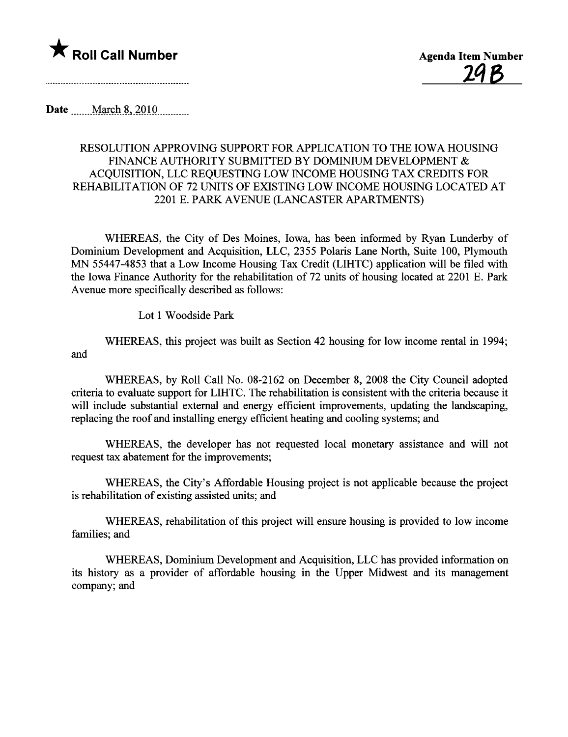

Date \_\_\_\_\_ March 8, 2010

## RESOLUTION APPROVING SUPPORT FOR APPLICATION TO THE IOWA HOUSING FINANCE AUTHORITY SUBMITTED BY DOMINIUM DEVELOPMENT & ACQUISITION, LLC REQUESTING LOW INCOME HOUSING TAX CREDITS FOR REHABILITATION OF 72 UNITS OF EXISTING LOW INCOME HOUSING LOCATED AT 2201 E. PARK AVENUE (LANCASTER APARTMENTS)

WHEREAS, the City of Des Moines, Iowa, has been informed by Ryan Lunderby of Dominium Development and Acquisition, LLC, 2355 Polaris Lane North, Suite 100, Plymouth MN 55447-4853 that a Low Income Housing Tax Credit (LIHTC) application will be filed with the Iowa Finance Authority for the rehabilitation of 72 units of housing located at 2201 E. Park Avenue more specifically described as follows:

Lot 1 Woodside Park

WHEREAS, this project was built as Section 42 housing for low income rental in 1994; and

WHEREAS, by Roll Call No. 08-2162 on December 8, 2008 the City Council adopted criteria to evaluate support for LIHTC. The rehabiltation is consistent with the criteria because it will include substatial external and energy efficient improvements, updating the landscaping, replacing the roof and installing energy efficient heating and cooling systems; and

WHEREAS, the developer has not requested local monetary assistance and will not request tax abatement for the improvements;

WHEREAS, the City's Affordable Housing project is not applicable because the project is rehabilitation of existing assisted units; and

WHEREAS, rehabilitation of this project will ensure housing is provided to low income families; and

WHEREAS, Dominium Development and Acquisition, LLC has provided information on its history as a provider of affordable housing in the Upper Midwest and its management company; and